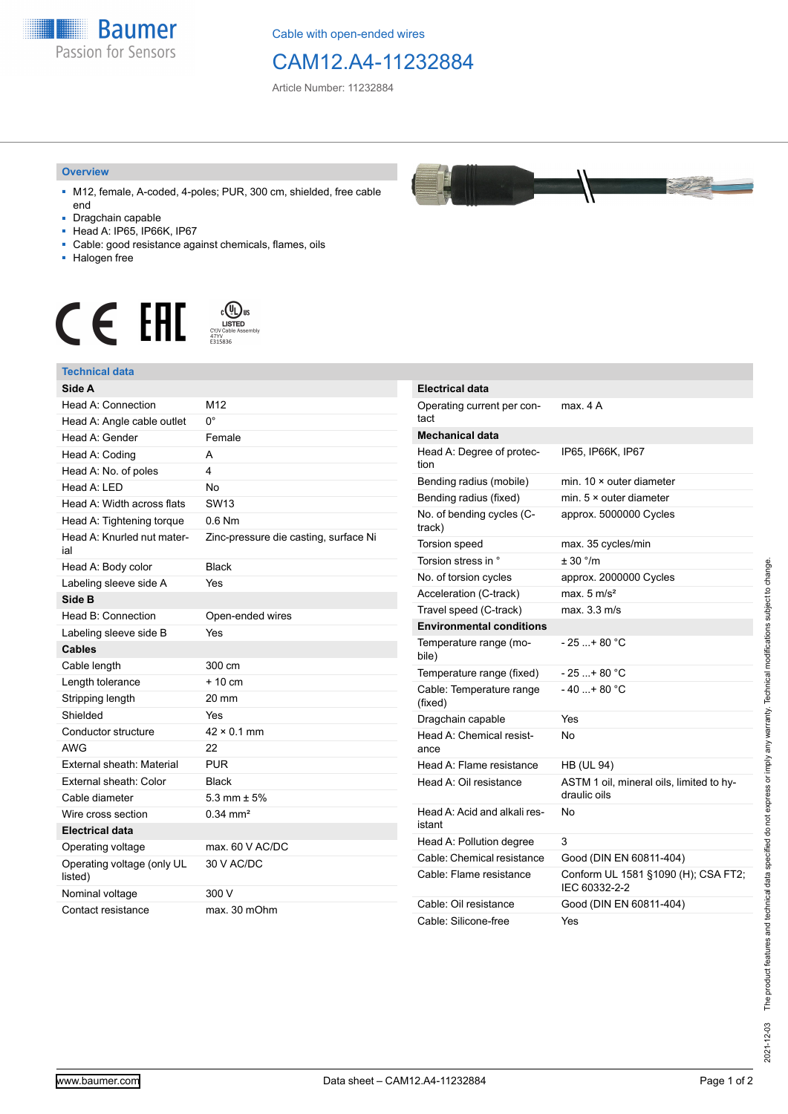

Cable with open-ended wires

## CAM12.A4-11232884

Article Number: 11232884

## **Overview**

- M12, female, A-coded, 4-poles; PUR, 300 cm, shielded, free cable end
- Dragchain capable
- Head A: IP65, IP66K, IP67
- Cable: good resistance against chemicals, flames, oils
- Halogen free



## **Technical data**

| Side A                                |                                       | E       |
|---------------------------------------|---------------------------------------|---------|
| Head A: Connection                    | M12                                   | C       |
| Head A: Angle cable outlet            | $0^{\circ}$                           | t       |
| Head A: Gender                        | Female                                | N       |
| Head A: Coding                        | А                                     | ۲       |
| Head A: No. of poles                  | 4                                     | ti      |
| Head A: LED                           | <b>No</b>                             | B       |
| Head A: Width across flats            | SW <sub>13</sub>                      | B       |
| Head A: Tightening torque             | $0.6$ Nm                              | N<br>tr |
| Head A: Knurled nut mater-<br>ial     | Zinc-pressure die casting, surface Ni | T       |
| Head A: Body color                    | <b>Black</b>                          | T       |
| Labeling sleeve side A                | Yes                                   | Ν       |
| Side B                                |                                       | А       |
| Head B: Connection                    | Open-ended wires                      | T       |
| Labeling sleeve side B                | Yes                                   | E       |
| <b>Cables</b>                         |                                       | T<br>b  |
| Cable length                          | 300 cm                                | T       |
| Length tolerance                      | $+10cm$                               | C       |
| Stripping length                      | 20 mm                                 | (1)     |
| Shielded                              | Yes                                   | D       |
| Conductor structure                   | $42 \times 0.1$ mm                    | ۲       |
| <b>AWG</b>                            | 22                                    | a       |
| External sheath: Material             | <b>PUR</b>                            | ۲       |
| External sheath: Color                | <b>Black</b>                          | ۲       |
| Cable diameter                        | $5.3 \text{ mm} \pm 5\%$              |         |
| Wire cross section                    | $0.34$ mm <sup>2</sup>                | ۲       |
| <b>Electrical data</b>                |                                       | is      |
| Operating voltage                     | max. 60 V AC/DC                       | ۲       |
| Operating voltage (only UL<br>listed) | 30 V AC/DC                            | C<br>C  |
| Nominal voltage                       | 300 V                                 |         |
| Contact resistance                    | max. 30 mOhm                          | C<br>C  |



| <b>Electrical data</b>                 |                                                          |  |  |
|----------------------------------------|----------------------------------------------------------|--|--|
| Operating current per con-<br>tact     | max. 4 A                                                 |  |  |
| <b>Mechanical data</b>                 |                                                          |  |  |
| Head A: Degree of protec-<br>tion      | IP65, IP66K, IP67                                        |  |  |
| Bending radius (mobile)                | min. $10 \times$ outer diameter                          |  |  |
| Bending radius (fixed)                 | min. $5 \times$ outer diameter                           |  |  |
| No. of bending cycles (C-<br>track)    | approx. 5000000 Cycles                                   |  |  |
| Torsion speed                          | max. 35 cycles/min                                       |  |  |
| Torsion stress in °                    | ± 30 °/m                                                 |  |  |
| No. of torsion cycles                  | approx. 2000000 Cycles                                   |  |  |
| Acceleration (C-track)                 | max. $5 \text{ m/s}^2$                                   |  |  |
| Travel speed (C-track)                 | max. 3.3 m/s                                             |  |  |
| <b>Environmental conditions</b>        |                                                          |  |  |
| Temperature range (mo-<br>bile)        | - 25 + 80 °C                                             |  |  |
| Temperature range (fixed)              | $-25+80 °C$                                              |  |  |
| Cable: Temperature range<br>(fixed)    | - 40 + 80 °C                                             |  |  |
| Dragchain capable                      | Yes                                                      |  |  |
| Head A: Chemical resist-<br>ance       | No                                                       |  |  |
| Head A: Flame resistance               | <b>HB (UL 94)</b>                                        |  |  |
| Head A: Oil resistance                 | ASTM 1 oil, mineral oils, limited to hy-<br>draulic oils |  |  |
| Head A: Acid and alkali res-<br>istant | No                                                       |  |  |
| Head A: Pollution degree               | 3                                                        |  |  |
| Cable: Chemical resistance             | Good (DIN EN 60811-404)                                  |  |  |
| Cable: Flame resistance                | Conform UL 1581 §1090 (H); CSA FT2;<br>IEC 60332-2-2     |  |  |
| Cable: Oil resistance                  | Good (DIN EN 60811-404)                                  |  |  |
| Cable: Silicone-free                   | Yes                                                      |  |  |